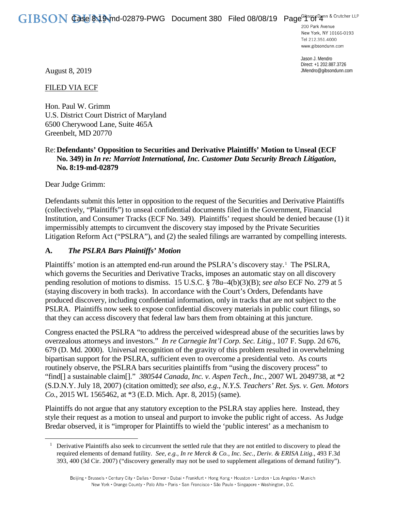200 Park Avenue New York, NY 10166-0193 Tel 212.351.4000 www.gibsondunn.com

Jason J. Mendro Direct: +1 202.887.3726<br>JMendro@gibsondunn.com

August 8, 2019

FILED VIA ECF

Hon. Paul W. Grimm U.S. District Court District of Maryland 6500 Cherywood Lane, Suite 465A Greenbelt, MD 20770

### Re:**Defendants' Opposition to Securities and Derivative Plaintiffs' Motion to Unseal (ECF No. 349) in** *In re: Marriott International, Inc. Customer Data Security Breach Litigation***, No. 8:19-md-02879**

Dear Judge Grimm:

Defendants submit this letter in opposition to the request of the Securities and Derivative Plaintiffs (collectively, "Plaintiffs") to unseal confidential documents filed in the Government, Financial Institution, and Consumer Tracks (ECF No. 349). Plaintiffs' request should be denied because (1) it impermissibly attempts to circumvent the discovery stay imposed by the Private Securities Litigation Reform Act ("PSLRA"), and (2) the sealed filings are warranted by compelling interests.

#### **A.** *The PSLRA Bars Plaintiffs' Motion*

Plaintiffs' motion is an attempted end-run around the PSLRA's discovery stay.<sup>[1](#page-0-0)</sup> The PSLRA, which governs the Securities and Derivative Tracks, imposes an automatic stay on all discovery pending resolution of motions to dismiss. 15 U.S.C. § 78u–4(b)(3)(B); *see also* ECF No. 279 at 5 (staying discovery in both tracks). In accordance with the Court's Orders, Defendants have produced discovery, including confidential information, only in tracks that are not subject to the PSLRA. Plaintiffs now seek to expose confidential discovery materials in public court filings, so that they can access discovery that federal law bars them from obtaining at this juncture.

Congress enacted the PSLRA "to address the perceived widespread abuse of the securities laws by overzealous attorneys and investors." *In re Carnegie Int'l Corp. Sec. Litig.*, 107 F. Supp. 2d 676, 679 (D. Md. 2000). Universal recognition of the gravity of this problem resulted in overwhelming bipartisan support for the PSLRA, sufficient even to overcome a presidential veto. As courts routinely observe, the PSLRA bars securities plaintiffs from "using the discovery process" to "find[] a sustainable claim[]." *380544 Canada, Inc. v. Aspen Tech., Inc.*, 2007 WL 2049738, at \*2 (S.D.N.Y. July 18, 2007) (citation omitted); *see also, e.g.*, *N.Y.S. Teachers' Ret. Sys. v. Gen. Motors Co.*, 2015 WL 1565462, at \*3 (E.D. Mich. Apr. 8, 2015) (same).

Plaintiffs do not argue that any statutory exception to the PSLRA stay applies here. Instead, they style their request as a motion to unseal and purport to invoke the public right of access. As Judge Bredar observed, it is "improper for Plaintiffs to wield the 'public interest' as a mechanism to

<span id="page-0-0"></span><sup>&</sup>lt;sup>1</sup> Derivative Plaintiffs also seek to circumvent the settled rule that they are not entitled to discovery to plead the required elements of demand futility. *See, e.g.*, *In re Merck & Co., Inc. Sec., Deriv. & ERISA Litig.*, 493 F.3d 393, 400 (3d Cir. 2007) ("discovery generally may not be used to supplement allegations of demand futility").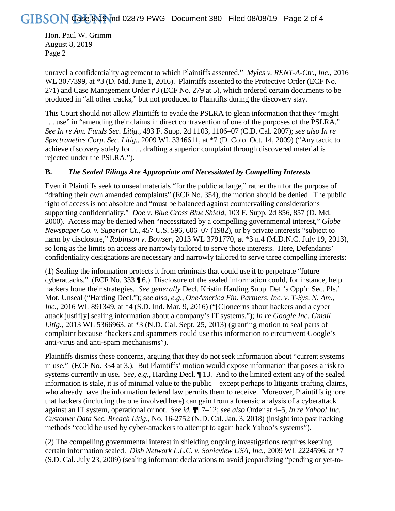Hon. Paul W. Grimm August 8, 2019 Page 2

unravel a confidentiality agreement to which Plaintiffs assented." *Myles v. RENT-A-Ctr., Inc.*, 2016 WL 3077399, at \*3 (D. Md. June 1, 2016). Plaintiffs assented to the Protective Order (ECF No. 271) and Case Management Order #3 (ECF No. 279 at 5), which ordered certain documents to be produced in "all other tracks," but not produced to Plaintiffs during the discovery stay.

This Court should not allow Plaintiffs to evade the PSLRA to glean information that they "might . . . use" in "amending their claims in direct contravention of one of the purposes of the PSLRA." *See In re Am. Funds Sec. Litig.*, 493 F. Supp. 2d 1103, 1106–07 (C.D. Cal. 2007); *see also In re Spectranetics Corp. Sec. Litig.*, 2009 WL 3346611, at \*7 (D. Colo. Oct. 14, 2009) ("Any tactic to achieve discovery solely for . . . drafting a superior complaint through discovered material is rejected under the PSLRA.").

### **B.** *The Sealed Filings Are Appropriate and Necessitated by Compelling Interests*

Even if Plaintiffs seek to unseal materials "for the public at large," rather than for the purpose of "drafting their own amended complaints" (ECF No. 354), the motion should be denied. The public right of access is not absolute and "must be balanced against countervailing considerations supporting confidentiality." *Doe v. Blue Cross Blue Shield*, 103 F. Supp. 2d 856, 857 (D. Md. 2000). Access may be denied when "necessitated by a compelling governmental interest," *Globe Newspaper Co. v. Superior Ct.,* 457 U.S. 596, 606–07 (1982), or by private interests "subject to harm by disclosure," *Robinson v. Bowser*, 2013 WL 3791770, at \*3 n.4 (M.D.N.C. July 19, 2013), so long as the limits on access are narrowly tailored to serve those interests. Here, Defendants' confidentiality designations are necessary and narrowly tailored to serve three compelling interests:

(1) Sealing the information protects it from criminals that could use it to perpetrate "future cyberattacks." (ECF No. 333 ¶ 6.) Disclosure of the sealed information could, for instance, help hackers hone their strategies. *See generally* Decl. Kristin Harding Supp. Def.'s Opp'n Sec. Pls.' Mot. Unseal ("Harding Decl."); *see also, e.g.*, *OneAmerica Fin. Partners, Inc. v. T-Sys. N. Am., Inc.*, 2016 WL 891349, at \*4 (S.D. Ind. Mar. 9, 2016) ("[C]oncerns about hackers and a cyber attack justif[y] sealing information about a company's IT systems."); *In re Google Inc. Gmail Litig.*, 2013 WL 5366963, at \*3 (N.D. Cal. Sept. 25, 2013) (granting motion to seal parts of complaint because "hackers and spammers could use this information to circumvent Google's anti-virus and anti-spam mechanisms").

Plaintiffs dismiss these concerns, arguing that they do not seek information about "current systems in use." (ECF No. 354 at 3.). But Plaintiffs' motion would expose information that poses a risk to systems currently in use. *See, e.g.*, Harding Decl. ¶ 13. And to the limited extent any of the sealed information is stale, it is of minimal value to the public—except perhaps to litigants crafting claims, who already have the information federal law permits them to receive. Moreover, Plaintiffs ignore that hackers (including the one involved here) can gain from a forensic analysis of a cyberattack against an IT system, operational or not. *See id.* ¶¶ 7–12; *see also* Order at 4–5, *In re Yahoo! Inc. Customer Data Sec. Breach Litig*., No. 16-2752 (N.D. Cal. Jan. 3, 2018) (insight into past hacking methods "could be used by cyber-attackers to attempt to again hack Yahoo's systems").

(2) The compelling governmental interest in shielding ongoing investigations requires keeping certain information sealed. *Dish Network L.L.C. v. Sonicview USA, Inc.*, 2009 WL 2224596, at \*7 (S.D. Cal. July 23, 2009) (sealing informant declarations to avoid jeopardizing "pending or yet-to-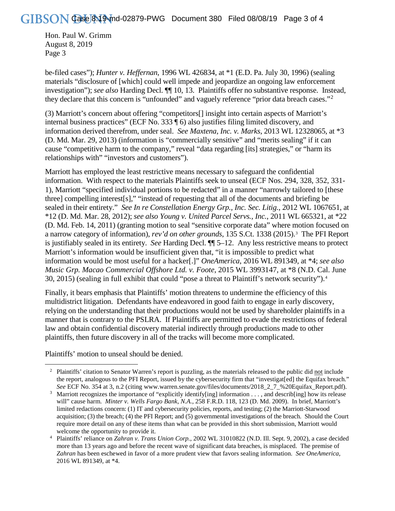## GIBSON Case 8:19-md-02879-PWG Document 380 Filed 08/08/19 Page 3 of 4

Hon. Paul W. Grimm August 8, 2019 Page 3

be-filed cases"); *Hunter v. Heffernan*, 1996 WL 426834, at \*1 (E.D. Pa. July 30, 1996) (sealing materials "disclosure of [which] could well impede and jeopardize an ongoing law enforcement investigation"); *see also* Harding Decl. ¶¶ 10, 13. Plaintiffs offer no substantive response. Instead, they declare that this concern is "unfounded" and vaguely reference "prior data breach cases."<sup>[2](#page-2-0)</sup>

(3) Marriott's concern about offering "competitors[] insight into certain aspects of Marriott's internal business practices" (ECF No. 333 ¶ 6) also justifies filing limited discovery, and information derived therefrom, under seal. *See Maxtena, Inc. v. Marks*, 2013 WL 12328065, at \*3 (D. Md. Mar. 29, 2013) (information is "commercially sensitive" and "merits sealing" if it can cause "competitive harm to the company," reveal "data regarding [its] strategies," or "harm its relationships with" "investors and customers").

Marriott has employed the least restrictive means necessary to safeguard the confidential information. With respect to the materials Plaintiffs seek to unseal (ECF Nos. 294, 328, 352, 331- 1), Marriott "specified individual portions to be redacted" in a manner "narrowly tailored to [these three] compelling interest[s]," "instead of requesting that all of the documents and briefing be sealed in their entirety." *See In re Constellation Energy Grp., Inc. Sec. Litig.*, 2012 WL 1067651, at \*12 (D. Md. Mar. 28, 2012); *see also Young v. United Parcel Servs., Inc.*, 2011 WL 665321, at \*22 (D. Md. Feb. 14, 2011) (granting motion to seal "sensitive corporate data" where motion focused on a narrow category of information), *rev'd on other grounds*, 135 S.Ct. 1338 (2015).[3](#page-2-1) The PFI Report is justifiably sealed in its entirety. *See* Harding Decl. ¶¶ 5–12. Any less restrictive means to protect Marriott's information would be insufficient given that, "it is impossible to predict what information would be most useful for a hacker[.]" *OneAmerica*, 2016 WL 891349, at \*4; *see also Music Grp. Macao Commercial Offshore Ltd. v. Foote*, 2015 WL 3993147, at \*8 (N.D. Cal. June 30, 2015) (sealing in full exhibit that could "pose a threat to Plaintiff's network security").[4](#page-2-2)

Finally, it bears emphasis that Plaintiffs' motion threatens to undermine the efficiency of this multidistrict litigation. Defendants have endeavored in good faith to engage in early discovery, relying on the understanding that their productions would not be used by shareholder plaintiffs in a manner that is contrary to the PSLRA. If Plaintiffs are permitted to evade the restrictions of federal law and obtain confidential discovery material indirectly through productions made to other plaintiffs, then future discovery in all of the tracks will become more complicated.

<span id="page-2-0"></span>Plaintiffs' motion to unseal should be denied.

<sup>&</sup>lt;sup>2</sup> Plaintiffs' citation to Senator Warren's report is puzzling, as the materials released to the public did not include the report, analogous to the PFI Report, issued by the cybersecurity firm that "investigat[ed] the Equifax breach." *See* ECF No. 354 at 3, n.2 (citing www.warren.senate.gov/files/documents/2018\_2\_7\_%20Equifax\_Report.pdf).

<span id="page-2-1"></span> $3$  Marriott recognizes the importance of "explicitly identify[ing] information . . . , and describ[ing] how its release will" cause harm. *Minter v. Wells Fargo Bank, N.A.*, 258 F.R.D. 118, 123 (D. Md. 2009). In brief, Marriott's limited redactions concern: (1) IT and cybersecurity policies, reports, and testing; (2) the Marriott-Starwood acquisition; (3) the breach; (4) the PFI Report; and (5) governmental investigations of the breach. Should the Court require more detail on any of these items than what can be provided in this short submission, Marriott would

<span id="page-2-2"></span>welcome the opportunity to provide it.<br><sup>4</sup> Plaintiffs' reliance on *Zahran v. Trans Union Corp.*, 2002 WL 31010822 (N.D. Ill. Sept. 9, 2002), a case decided more than 13 years ago and before the recent wave of significant data breaches, is misplaced. The premise of *Zahran* has been eschewed in favor of a more prudent view that favors sealing information. *See OneAmerica*, 2016 WL 891349, at \*4.